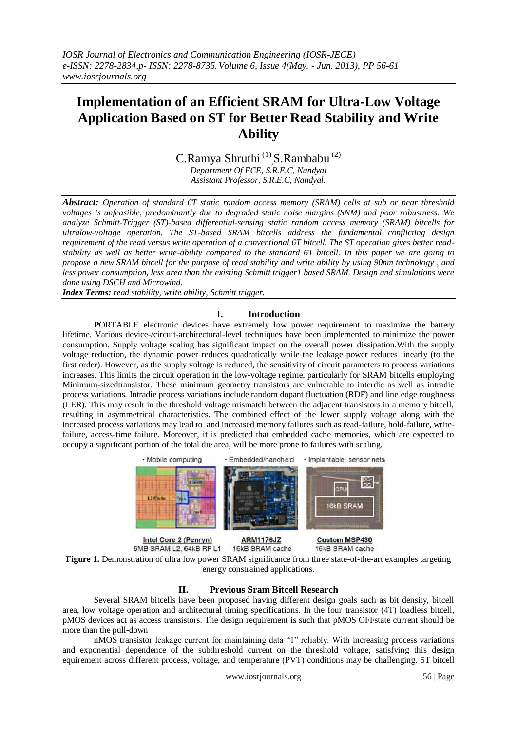# **Implementation of an Efficient SRAM for Ultra-Low Voltage Application Based on ST for Better Read Stability and Write Ability**

C.Ramya Shruthi<sup>(1)</sup>, S.Rambabu<sup>(2)</sup> *Department Of ECE, S.R.E.C, Nandyal* 

*Assistant Professor, S.R.E.C, Nandyal.*

*Abstract: Operation of standard 6T static random access memory (SRAM) cells at sub or near threshold voltages is unfeasible, predominantly due to degraded static noise margins (SNM) and poor robustness. We analyze Schmitt-Trigger (ST)-based differential-sensing static random access memory (SRAM) bitcells for ultralow-voltage operation. The ST-based SRAM bitcells address the fundamental conflicting design requirement of the read versus write operation of a conventional 6T bitcell. The ST operation gives better readstability as well as better write-ability compared to the standard 6T bitcell. In this paper we are going to propose a new SRAM bitcell for the purpose of read stability and write ability by using 90nm technology , and less power consumption, less area than the existing Schmitt trigger1 based SRAM. Design and simulations were done using DSCH and Microwind.*

*Index Terms: read stability, write ability, Schmitt trigger.*

### **I. Introduction**

**P**ORTABLE electronic devices have extremely low power requirement to maximize the battery lifetime. Various device-/circuit-architectural-level techniques have been implemented to minimize the power consumption. Supply voltage scaling has significant impact on the overall power dissipation.With the supply voltage reduction, the dynamic power reduces quadratically while the leakage power reduces linearly (to the first order). However, as the supply voltage is reduced, the sensitivity of circuit parameters to process variations increases. This limits the circuit operation in the low-voltage regime, particularly for SRAM bitcells employing Minimum-sizedtransistor. These minimum geometry transistors are vulnerable to interdie as well as intradie process variations. Intradie process variations include random dopant fluctuation (RDF) and line edge roughness (LER). This may result in the threshold voltage mismatch between the adjacent transistors in a memory bitcell, resulting in asymmetrical characteristics. The combined effect of the lower supply voltage along with the increased process variations may lead to and increased memory failures such as read-failure, hold-failure, writefailure, access-time failure. Moreover, it is predicted that embedded cache memories, which are expected to occupy a significant portion of the total die area, will be more prone to failures with scaling.



Intel Core 2 (Penryn) 6MB SRAM L2, 64kB RF L1

**Custom MSP430** 16kB SRAM cache

**Figure 1.** Demonstration of ultra low power SRAM significance from three state-of-the-art examples targeting energy constrained applications.

16kB SRAM cache

## **II. Previous Sram Bitcell Research**

Several SRAM bitcells have been proposed having different design goals such as bit density, bitcell area, low voltage operation and architectural timing specifications. In the four transistor (4T) loadless bitcell, pMOS devices act as access transistors. The design requirement is such that pMOS OFFstate current should be more than the pull-down

nMOS transistor leakage current for maintaining data "1" reliably. With increasing process variations and exponential dependence of the subthreshold current on the threshold voltage, satisfying this design equirement across different process, voltage, and temperature (PVT) conditions may be challenging. 5T bitcell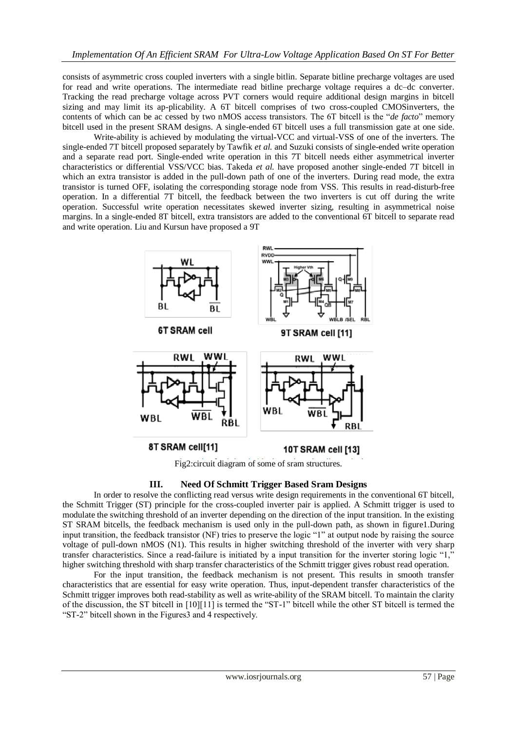consists of asymmetric cross coupled inverters with a single bitlin. Separate bitline precharge voltages are used for read and write operations. The intermediate read bitline precharge voltage requires a dc–dc converter. Tracking the read precharge voltage across PVT corners would require additional design margins in bitcell sizing and may limit its ap-plicability. A 6T bitcell comprises of two cross-coupled CMOSinverters, the contents of which can be ac cessed by two nMOS access transistors. The 6T bitcell is the "*de facto*" memory bitcell used in the present SRAM designs. A single-ended 6T bitcell uses a full transmission gate at one side.

Write-ability is achieved by modulating the virtual-VCC and virtual-VSS of one of the inverters. The single-ended 7T bitcell proposed separately by Tawfik *et al.* and Suzuki consists of single-ended write operation and a separate read port. Single-ended write operation in this 7T bitcell needs either asymmetrical inverter characteristics or differential VSS/VCC bias. Takeda *et al.* have proposed another single-ended 7T bitcell in which an extra transistor is added in the pull-down path of one of the inverters. During read mode, the extra transistor is turned OFF, isolating the corresponding storage node from VSS. This results in read-disturb-free operation. In a differential 7T bitcell, the feedback between the two inverters is cut off during the write operation. Successful write operation necessitates skewed inverter sizing, resulting in asymmetrical noise margins. In a single-ended 8T bitcell, extra transistors are added to the conventional 6T bitcell to separate read and write operation. Liu and Kursun have proposed a 9T



Fig2:circuit diagram of some of sram structures.

## **III. Need Of Schmitt Trigger Based Sram Designs**

In order to resolve the conflicting read versus write design requirements in the conventional 6T bitcell, the Schmitt Trigger (ST) principle for the cross-coupled inverter pair is applied. A Schmitt trigger is used to modulate the switching threshold of an inverter depending on the direction of the input transition. In the existing ST SRAM bitcells, the feedback mechanism is used only in the pull-down path, as shown in figure1.During input transition, the feedback transistor (NF) tries to preserve the logic "1" at output node by raising the source voltage of pull-down nMOS (N1). This results in higher switching threshold of the inverter with very sharp transfer characteristics. Since a read-failure is initiated by a input transition for the inverter storing logic "1," higher switching threshold with sharp transfer characteristics of the Schmitt trigger gives robust read operation.

For the input transition, the feedback mechanism is not present. This results in smooth transfer characteristics that are essential for easy write operation. Thus, input-dependent transfer characteristics of the Schmitt trigger improves both read-stability as well as write-ability of the SRAM bitcell. To maintain the clarity of the discussion, the ST bitcell in [10][11] is termed the "ST-1" bitcell while the other ST bitcell is termed the "ST-2" bitcell shown in the Figures3 and 4 respectively.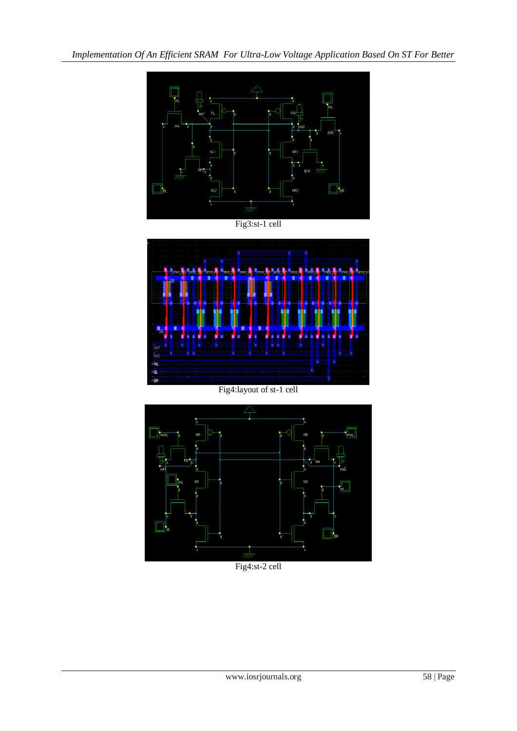*Implementation Of An Efficient SRAM For Ultra-Low Voltage Application Based On ST For Better* 



Fig3:st-1 cell



Fig4:layout of st-1 cell



Fig4:st-2 cell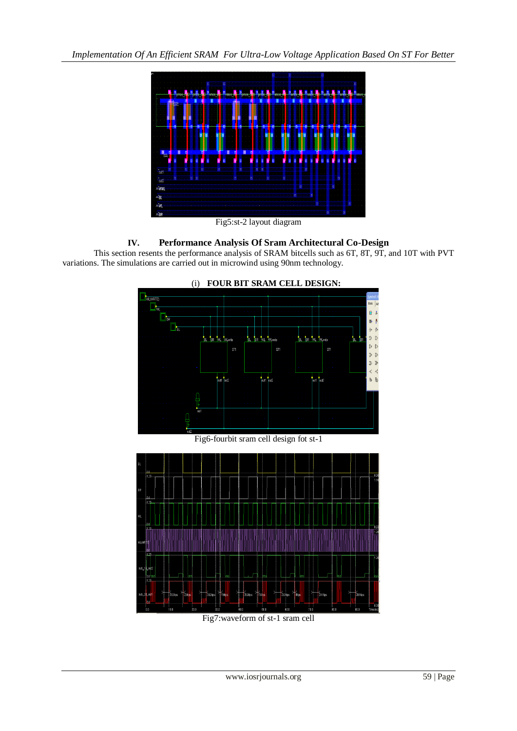*Implementation Of An Efficient SRAM For Ultra-Low Voltage Application Based On ST For Better* 



Fig5:st-2 layout diagram

## **IV. Performance Analysis Of Sram Architectural Co-Design**

This section resents the performance analysis of SRAM bitcells such as 6T, 8T, 9T, and 10T with PVT variations. The simulations are carried out in microwind using 90nm technology.



Fig7:waveform of st-1 sram cell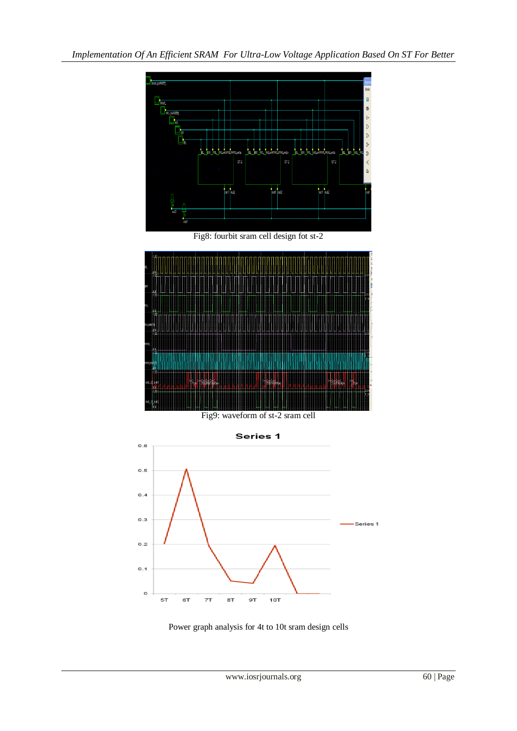

Fig8: fourbit sram cell design fot st-2



Fig9: waveform of st-2 sram cell



Power graph analysis for 4t to 10t sram design cells